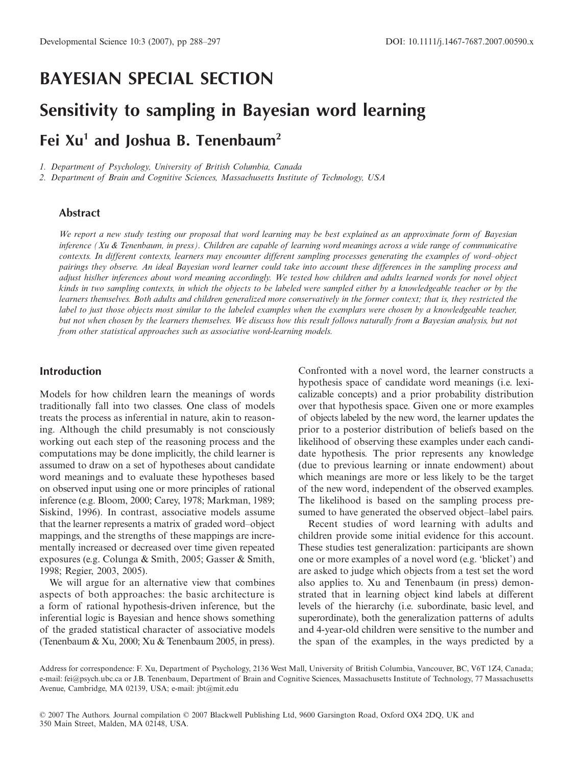# BAYESIAN SPECIAL SECTION

# *Bayesian word learning* **Sensitivity to sampling in Bayesian word learning Fei Xu1 and Joshua B. Tenenbaum2**

*1. Department of Psychology, University of British Columbia, Canada*

*2. Department of Brain and Cognitive Sciences, Massachusetts Institute of Technology, USA* 

# **Abstract**

*We report a new study testing our proposal that word learning may be best explained as an approximate form of Bayesian inference (Xu & Tenenbaum, in press). Children are capable of learning word meanings across a wide range of communicative contexts. In different contexts, learners may encounter different sampling processes generating the examples of word–object pairings they observe. An ideal Bayesian word learner could take into account these differences in the sampling process and adjust his/her inferences about word meaning accordingly. We tested how children and adults learned words for novel object kinds in two sampling contexts, in which the objects to be labeled were sampled either by a knowledgeable teacher or by the learners themselves. Both adults and children generalized more conservatively in the former context; that is, they restricted the label to just those objects most similar to the labeled examples when the exemplars were chosen by a knowledgeable teacher, but not when chosen by the learners themselves. We discuss how this result follows naturally from a Bayesian analysis, but not from other statistical approaches such as associative word-learning models.*

# **Introduction**

Models for how children learn the meanings of words traditionally fall into two classes. One class of models treats the process as inferential in nature, akin to reasoning. Although the child presumably is not consciously working out each step of the reasoning process and the computations may be done implicitly, the child learner is assumed to draw on a set of hypotheses about candidate word meanings and to evaluate these hypotheses based on observed input using one or more principles of rational inference (e.g. Bloom, 2000; Carey, 1978; Markman, 1989; Siskind, 1996). In contrast, associative models assume that the learner represents a matrix of graded word–object mappings, and the strengths of these mappings are incrementally increased or decreased over time given repeated exposures (e.g. Colunga & Smith, 2005; Gasser & Smith, 1998; Regier, 2003, 2005).

We will argue for an alternative view that combines aspects of both approaches: the basic architecture is a form of rational hypothesis-driven inference, but the inferential logic is Bayesian and hence shows something of the graded statistical character of associative models (Tenenbaum & Xu, 2000; Xu & Tenenbaum 2005, in press).

Confronted with a novel word, the learner constructs a hypothesis space of candidate word meanings (i.e. lexicalizable concepts) and a prior probability distribution over that hypothesis space. Given one or more examples of objects labeled by the new word, the learner updates the prior to a posterior distribution of beliefs based on the likelihood of observing these examples under each candidate hypothesis. The prior represents any knowledge (due to previous learning or innate endowment) about which meanings are more or less likely to be the target of the new word, independent of the observed examples. The likelihood is based on the sampling process presumed to have generated the observed object–label pairs.

Recent studies of word learning with adults and children provide some initial evidence for this account. These studies test generalization: participants are shown one or more examples of a novel word (e.g. 'blicket') and are asked to judge which objects from a test set the word also applies to. Xu and Tenenbaum (in press) demonstrated that in learning object kind labels at different levels of the hierarchy (i.e. subordinate, basic level, and superordinate), both the generalization patterns of adults and 4-year-old children were sensitive to the number and the span of the examples, in the ways predicted by a

Address for correspondence: F. Xu, Department of Psychology, 2136 West Mall, University of British Columbia, Vancouver, BC, V6T 1Z4, Canada; e-mail: fei@psych.ubc.ca or J.B. Tenenbaum, Department of Brain and Cognitive Sciences, Massachusetts Institute of Technology, 77 Massachusetts Avenue, Cambridge, MA 02139, USA; e-mail: jbt@mit.edu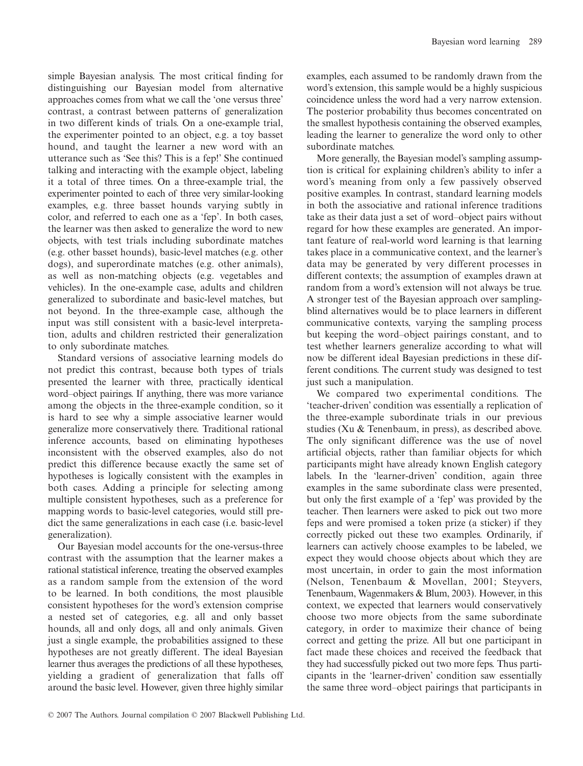simple Bayesian analysis. The most critical finding for distinguishing our Bayesian model from alternative approaches comes from what we call the 'one versus three' contrast, a contrast between patterns of generalization in two different kinds of trials. On a one-example trial, the experimenter pointed to an object, e.g. a toy basset hound, and taught the learner a new word with an utterance such as 'See this? This is a fep!' She continued talking and interacting with the example object, labeling it a total of three times. On a three-example trial, the experimenter pointed to each of three very similar-looking examples, e.g. three basset hounds varying subtly in color, and referred to each one as a 'fep'. In both cases, the learner was then asked to generalize the word to new objects, with test trials including subordinate matches (e.g. other basset hounds), basic-level matches (e.g. other dogs), and superordinate matches (e.g. other animals), as well as non-matching objects (e.g. vegetables and vehicles). In the one-example case, adults and children generalized to subordinate and basic-level matches, but not beyond. In the three-example case, although the input was still consistent with a basic-level interpretation, adults and children restricted their generalization to only subordinate matches.

Standard versions of associative learning models do not predict this contrast, because both types of trials presented the learner with three, practically identical word–object pairings. If anything, there was more variance among the objects in the three-example condition, so it is hard to see why a simple associative learner would generalize more conservatively there. Traditional rational inference accounts, based on eliminating hypotheses inconsistent with the observed examples, also do not predict this difference because exactly the same set of hypotheses is logically consistent with the examples in both cases. Adding a principle for selecting among multiple consistent hypotheses, such as a preference for mapping words to basic-level categories, would still predict the same generalizations in each case (i.e. basic-level generalization).

Our Bayesian model accounts for the one-versus-three contrast with the assumption that the learner makes a rational statistical inference, treating the observed examples as a random sample from the extension of the word to be learned. In both conditions, the most plausible consistent hypotheses for the word's extension comprise a nested set of categories, e.g. all and only basset hounds, all and only dogs, all and only animals. Given just a single example, the probabilities assigned to these hypotheses are not greatly different. The ideal Bayesian learner thus averages the predictions of all these hypotheses, yielding a gradient of generalization that falls off around the basic level. However, given three highly similar

examples, each assumed to be randomly drawn from the word's extension, this sample would be a highly suspicious coincidence unless the word had a very narrow extension. The posterior probability thus becomes concentrated on the smallest hypothesis containing the observed examples, leading the learner to generalize the word only to other subordinate matches.

More generally, the Bayesian model's sampling assumption is critical for explaining children's ability to infer a word's meaning from only a few passively observed positive examples. In contrast, standard learning models in both the associative and rational inference traditions take as their data just a set of word–object pairs without regard for how these examples are generated. An important feature of real-world word learning is that learning takes place in a communicative context, and the learner's data may be generated by very different processes in different contexts; the assumption of examples drawn at random from a word's extension will not always be true. A stronger test of the Bayesian approach over samplingblind alternatives would be to place learners in different communicative contexts, varying the sampling process but keeping the word–object pairings constant, and to test whether learners generalize according to what will now be different ideal Bayesian predictions in these different conditions. The current study was designed to test just such a manipulation.

We compared two experimental conditions. The 'teacher-driven' condition was essentially a replication of the three-example subordinate trials in our previous studies (Xu & Tenenbaum, in press), as described above. The only significant difference was the use of novel artificial objects, rather than familiar objects for which participants might have already known English category labels. In the 'learner-driven' condition, again three examples in the same subordinate class were presented, but only the first example of a 'fep' was provided by the teacher. Then learners were asked to pick out two more feps and were promised a token prize (a sticker) if they correctly picked out these two examples. Ordinarily, if learners can actively choose examples to be labeled, we expect they would choose objects about which they are most uncertain, in order to gain the most information (Nelson, Tenenbaum & Movellan, 2001; Steyvers, Tenenbaum, Wagenmakers & Blum, 2003). However, in this context, we expected that learners would conservatively choose two more objects from the same subordinate category, in order to maximize their chance of being correct and getting the prize. All but one participant in fact made these choices and received the feedback that they had successfully picked out two more feps. Thus participants in the 'learner-driven' condition saw essentially the same three word–object pairings that participants in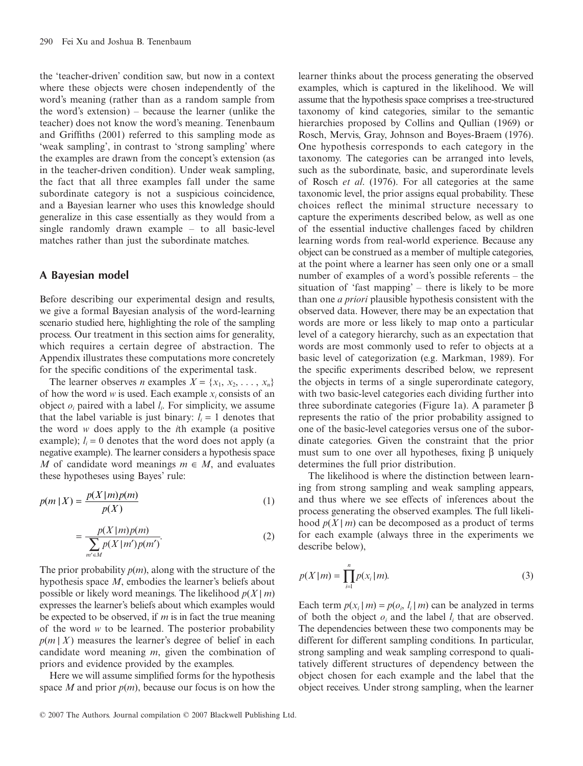the 'teacher-driven' condition saw, but now in a context where these objects were chosen independently of the word's meaning (rather than as a random sample from the word's extension) – because the learner (unlike the teacher) does not know the word's meaning. Tenenbaum and Griffiths (2001) referred to this sampling mode as 'weak sampling', in contrast to 'strong sampling' where the examples are drawn from the concept's extension (as in the teacher-driven condition). Under weak sampling, the fact that all three examples fall under the same subordinate category is not a suspicious coincidence, and a Bayesian learner who uses this knowledge should generalize in this case essentially as they would from a single randomly drawn example – to all basic-level matches rather than just the subordinate matches.

### **A Bayesian model**

Before describing our experimental design and results, we give a formal Bayesian analysis of the word-learning scenario studied here, highlighting the role of the sampling process. Our treatment in this section aims for generality, which requires a certain degree of abstraction. The Appendix illustrates these computations more concretely for the specific conditions of the experimental task.

The learner observes *n* examples  $X = \{x_1, x_2, \ldots, x_n\}$ of how the word  $w$  is used. Each example  $x_i$  consists of an object  $o_i$  paired with a label  $l_i$ . For simplicity, we assume that the label variable is just binary:  $l_i = 1$  denotes that the word *w* does apply to the *i*th example (a positive example);  $l_i = 0$  denotes that the word does not apply (a negative example). The learner considers a hypothesis space *M* of candidate word meanings  $m \in M$ , and evaluates these hypotheses using Bayes' rule:

$$
p(m|X) = \frac{p(X|m)p(m)}{p(X)}
$$
\n(1)

$$
=\frac{p(X|m)p(m)}{\sum_{m'\in M}p(X|m')p(m')}.\tag{2}
$$

The prior probability  $p(m)$ , along with the structure of the hypothesis space *M*, embodies the learner's beliefs about possible or likely word meanings. The likelihood  $p(X|m)$ expresses the learner's beliefs about which examples would be expected to be observed, if *m* is in fact the true meaning of the word *w* to be learned. The posterior probability  $p(m | X)$  measures the learner's degree of belief in each candidate word meaning *m*, given the combination of priors and evidence provided by the examples.

Here we will assume simplified forms for the hypothesis space *M* and prior *p*(*m*), because our focus is on how the

© 2007 The Authors. Journal compilation © 2007 Blackwell Publishing Ltd.

learner thinks about the process generating the observed examples, which is captured in the likelihood. We will assume that the hypothesis space comprises a tree-structured taxonomy of kind categories, similar to the semantic hierarchies proposed by Collins and Qullian (1969) or Rosch, Mervis, Gray, Johnson and Boyes-Braem (1976). One hypothesis corresponds to each category in the taxonomy. The categories can be arranged into levels, such as the subordinate, basic, and superordinate levels of Rosch *et al*. (1976). For all categories at the same taxonomic level, the prior assigns equal probability. These choices reflect the minimal structure necessary to capture the experiments described below, as well as one of the essential inductive challenges faced by children learning words from real-world experience. Because any object can be construed as a member of multiple categories, at the point where a learner has seen only one or a small number of examples of a word's possible referents – the situation of 'fast mapping' – there is likely to be more than one *a priori* plausible hypothesis consistent with the observed data. However, there may be an expectation that words are more or less likely to map onto a particular level of a category hierarchy, such as an expectation that words are most commonly used to refer to objects at a basic level of categorization (e.g. Markman, 1989). For the specific experiments described below, we represent the objects in terms of a single superordinate category, with two basic-level categories each dividing further into three subordinate categories (Figure 1a). A parameter β represents the ratio of the prior probability assigned to one of the basic-level categories versus one of the subordinate categories. Given the constraint that the prior must sum to one over all hypotheses, fixing β uniquely determines the full prior distribution.

The likelihood is where the distinction between learning from strong sampling and weak sampling appears, and thus where we see effects of inferences about the process generating the observed examples. The full likelihood  $p(X|m)$  can be decomposed as a product of terms for each example (always three in the experiments we describe below),

$$
p(X|m) = \prod_{i=1}^{n} p(x_i|m).
$$
 (3)

Each term  $p(x_i | m) = p(o_i, l_i | m)$  can be analyzed in terms of both the object  $o_i$  and the label  $l_i$  that are observed. The dependencies between these two components may be different for different sampling conditions. In particular, strong sampling and weak sampling correspond to qualitatively different structures of dependency between the object chosen for each example and the label that the object receives. Under strong sampling, when the learner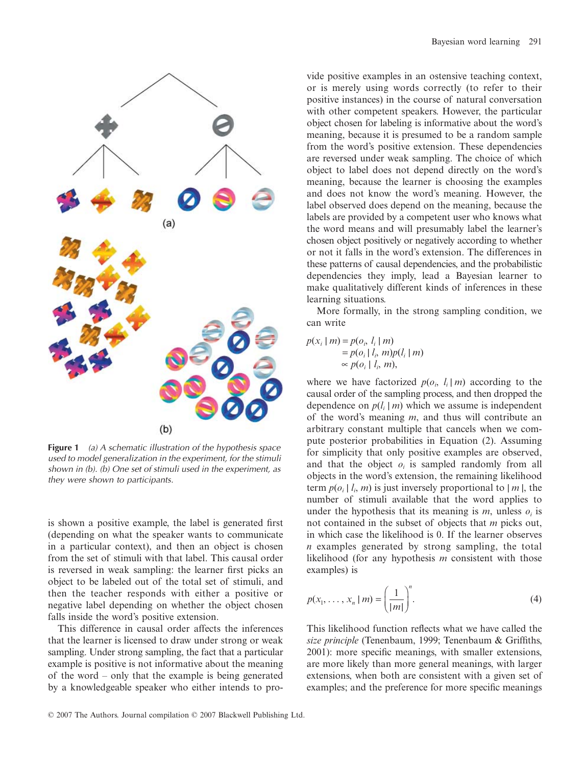

**Figure 1** *(a) A schematic illustration of the hypothesis space used to model generalization in the experiment, for the stimuli shown in (b). (b) One set of stimuli used in the experiment, as they were shown to participants.*

is shown a positive example, the label is generated first (depending on what the speaker wants to communicate in a particular context), and then an object is chosen from the set of stimuli with that label. This causal order is reversed in weak sampling: the learner first picks an object to be labeled out of the total set of stimuli, and then the teacher responds with either a positive or negative label depending on whether the object chosen falls inside the word's positive extension.

This difference in causal order affects the inferences that the learner is licensed to draw under strong or weak sampling. Under strong sampling, the fact that a particular example is positive is not informative about the meaning of the word – only that the example is being generated by a knowledgeable speaker who either intends to provide positive examples in an ostensive teaching context, or is merely using words correctly (to refer to their positive instances) in the course of natural conversation with other competent speakers. However, the particular object chosen for labeling is informative about the word's meaning, because it is presumed to be a random sample from the word's positive extension. These dependencies are reversed under weak sampling. The choice of which object to label does not depend directly on the word's meaning, because the learner is choosing the examples and does not know the word's meaning. However, the label observed does depend on the meaning, because the labels are provided by a competent user who knows what the word means and will presumably label the learner's chosen object positively or negatively according to whether or not it falls in the word's extension. The differences in these patterns of causal dependencies, and the probabilistic dependencies they imply, lead a Bayesian learner to make qualitatively different kinds of inferences in these learning situations.

More formally, in the strong sampling condition, we can write

 $p(x_i | m) = p(o_i, l_i | m)$  $= p(o_i | l_i, m)p(l_i | m)$ ∝ *p*(*oi* | *li* , *m*),

where we have factorized  $p(o_i, l_i | m)$  according to the causal order of the sampling process, and then dropped the dependence on  $p(l_i | m)$  which we assume is independent of the word's meaning *m*, and thus will contribute an arbitrary constant multiple that cancels when we compute posterior probabilities in Equation (2). Assuming for simplicity that only positive examples are observed, and that the object  $o_i$  is sampled randomly from all objects in the word's extension, the remaining likelihood term  $p(o_i | l_i, m)$  is just inversely proportional to  $|m|$ , the number of stimuli available that the word applies to under the hypothesis that its meaning is  $m$ , unless  $o_i$  is not contained in the subset of objects that *m* picks out, in which case the likelihood is 0. If the learner observes *n* examples generated by strong sampling, the total likelihood (for any hypothesis *m* consistent with those examples) is

$$
p(x_1, \ldots, x_n \mid m) = \left(\frac{1}{|m|}\right)^n.
$$
 (4)

This likelihood function reflects what we have called the *size principle* (Tenenbaum, 1999; Tenenbaum & Griffiths, 2001): more specific meanings, with smaller extensions, are more likely than more general meanings, with larger extensions, when both are consistent with a given set of examples; and the preference for more specific meanings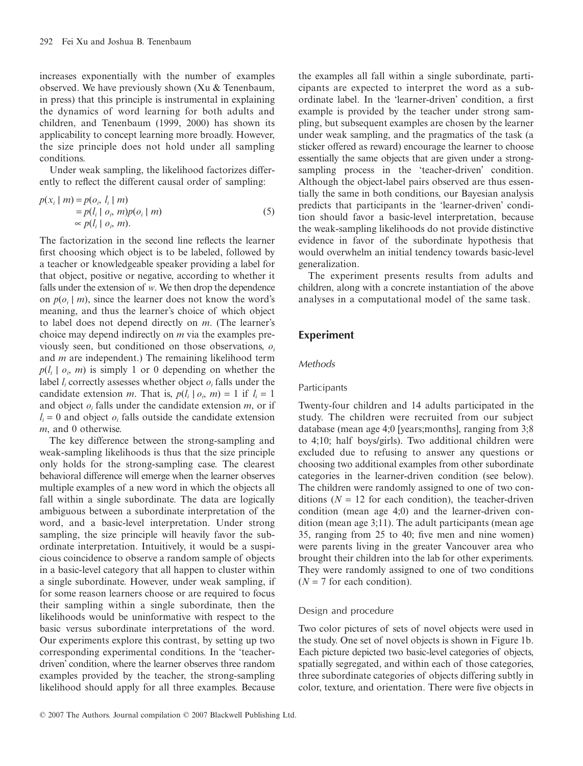increases exponentially with the number of examples observed. We have previously shown (Xu & Tenenbaum, in press) that this principle is instrumental in explaining the dynamics of word learning for both adults and children, and Tenenbaum (1999, 2000) has shown its applicability to concept learning more broadly. However, the size principle does not hold under all sampling conditions.

Under weak sampling, the likelihood factorizes differently to reflect the different causal order of sampling:

$$
p(x_i | m) = p(o_i, l_i | m)
$$
  
=  $p(l_i | o_i, m)p(o_i | m)$   
 $\propto p(l_i | o_i, m).$  (5)

The factorization in the second line reflects the learner first choosing which object is to be labeled, followed by a teacher or knowledgeable speaker providing a label for that object, positive or negative, according to whether it falls under the extension of *w*. We then drop the dependence on  $p(o_i | m)$ , since the learner does not know the word's meaning, and thus the learner's choice of which object to label does not depend directly on *m*. (The learner's choice may depend indirectly on *m* via the examples previously seen, but conditioned on those observations, *oi* and *m* are independent.) The remaining likelihood term  $p(l_i | o_i, m)$  is simply 1 or 0 depending on whether the label *l<sub>i</sub>* correctly assesses whether object *o<sub>i</sub>* falls under the candidate extension *m*. That is,  $p(l_i | o_i, m) = 1$  if  $l_i = 1$ and object  $o_i$  falls under the candidate extension  $m$ , or if  $l_i = 0$  and object  $o_i$  falls outside the candidate extension *m*, and 0 otherwise.

The key difference between the strong-sampling and weak-sampling likelihoods is thus that the size principle only holds for the strong-sampling case. The clearest behavioral difference will emerge when the learner observes multiple examples of a new word in which the objects all fall within a single subordinate. The data are logically ambiguous between a subordinate interpretation of the word, and a basic-level interpretation. Under strong sampling, the size principle will heavily favor the subordinate interpretation. Intuitively, it would be a suspicious coincidence to observe a random sample of objects in a basic-level category that all happen to cluster within a single subordinate. However, under weak sampling, if for some reason learners choose or are required to focus their sampling within a single subordinate, then the likelihoods would be uninformative with respect to the basic versus subordinate interpretations of the word. Our experiments explore this contrast, by setting up two corresponding experimental conditions. In the 'teacherdriven' condition, where the learner observes three random examples provided by the teacher, the strong-sampling likelihood should apply for all three examples. Because cipants are expected to interpret the word as a subordinate label. In the 'learner-driven' condition, a first example is provided by the teacher under strong sampling, but subsequent examples are chosen by the learner under weak sampling, and the pragmatics of the task (a sticker offered as reward) encourage the learner to choose essentially the same objects that are given under a strongsampling process in the 'teacher-driven' condition. Although the object-label pairs observed are thus essentially the same in both conditions, our Bayesian analysis predicts that participants in the 'learner-driven' condition should favor a basic-level interpretation, because the weak-sampling likelihoods do not provide distinctive evidence in favor of the subordinate hypothesis that would overwhelm an initial tendency towards basic-level generalization.

the examples all fall within a single subordinate, parti-

The experiment presents results from adults and children, along with a concrete instantiation of the above analyses in a computational model of the same task.

# **Experiment**

#### *Methods*

#### **Participants**

Twenty-four children and 14 adults participated in the study. The children were recruited from our subject database (mean age 4;0 [years;months], ranging from 3;8 to 4;10; half boys/girls). Two additional children were excluded due to refusing to answer any questions or choosing two additional examples from other subordinate categories in the learner-driven condition (see below). The children were randomly assigned to one of two conditions  $(N = 12$  for each condition), the teacher-driven condition (mean age 4;0) and the learner-driven condition (mean age 3;11). The adult participants (mean age 35, ranging from 25 to 40; five men and nine women) were parents living in the greater Vancouver area who brought their children into the lab for other experiments. They were randomly assigned to one of two conditions  $(N = 7$  for each condition).

#### Design and procedure

Two color pictures of sets of novel objects were used in the study. One set of novel objects is shown in Figure 1b. Each picture depicted two basic-level categories of objects, spatially segregated, and within each of those categories, three subordinate categories of objects differing subtly in color, texture, and orientation. There were five objects in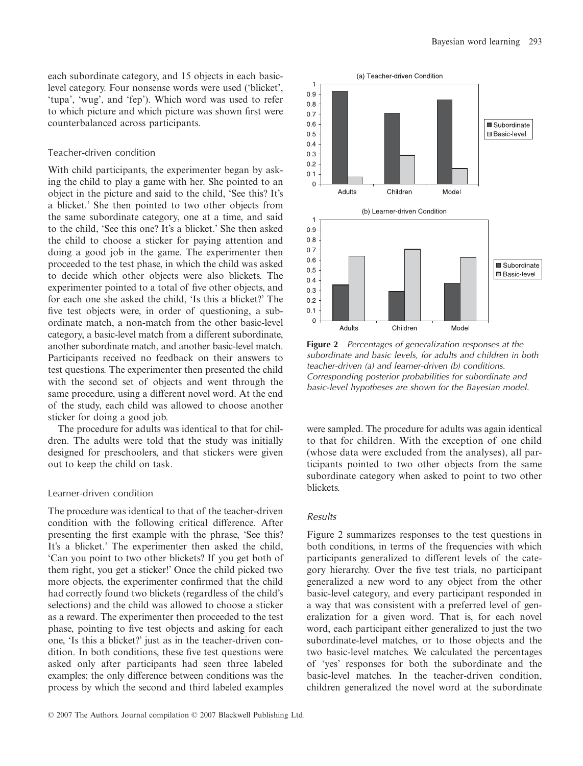each subordinate category, and 15 objects in each basiclevel category. Four nonsense words were used ('blicket', 'tupa', 'wug', and 'fep'). Which word was used to refer to which picture and which picture was shown first were counterbalanced across participants.

#### Teacher-driven condition

With child participants, the experimenter began by asking the child to play a game with her. She pointed to an object in the picture and said to the child, 'See this? It's a blicket.' She then pointed to two other objects from the same subordinate category, one at a time, and said to the child, 'See this one? It's a blicket.' She then asked the child to choose a sticker for paying attention and doing a good job in the game. The experimenter then proceeded to the test phase, in which the child was asked to decide which other objects were also blickets. The experimenter pointed to a total of five other objects, and for each one she asked the child, 'Is this a blicket?' The five test objects were, in order of questioning, a subordinate match, a non-match from the other basic-level category, a basic-level match from a different subordinate, another subordinate match, and another basic-level match. Participants received no feedback on their answers to test questions. The experimenter then presented the child with the second set of objects and went through the same procedure, using a different novel word. At the end of the study, each child was allowed to choose another sticker for doing a good job.

The procedure for adults was identical to that for children. The adults were told that the study was initially designed for preschoolers, and that stickers were given out to keep the child on task.

#### Learner-driven condition

The procedure was identical to that of the teacher-driven condition with the following critical difference. After presenting the first example with the phrase, 'See this? It's a blicket.' The experimenter then asked the child, 'Can you point to two other blickets? If you get both of them right, you get a sticker!' Once the child picked two more objects, the experimenter confirmed that the child had correctly found two blickets (regardless of the child's selections) and the child was allowed to choose a sticker as a reward. The experimenter then proceeded to the test phase, pointing to five test objects and asking for each one, 'Is this a blicket?' just as in the teacher-driven condition. In both conditions, these five test questions were asked only after participants had seen three labeled examples; the only difference between conditions was the process by which the second and third labeled examples



**Figure 2** *Percentages of generalization responses at the subordinate and basic levels, for adults and children in both teacher-driven (a) and learner-driven (b) conditions. Corresponding posterior probabilities for subordinate and basic-level hypotheses are shown for the Bayesian model.*

were sampled. The procedure for adults was again identical to that for children. With the exception of one child (whose data were excluded from the analyses), all participants pointed to two other objects from the same subordinate category when asked to point to two other blickets.

#### *Results*

Figure 2 summarizes responses to the test questions in both conditions, in terms of the frequencies with which participants generalized to different levels of the category hierarchy. Over the five test trials, no participant generalized a new word to any object from the other basic-level category, and every participant responded in a way that was consistent with a preferred level of generalization for a given word. That is, for each novel word, each participant either generalized to just the two subordinate-level matches, or to those objects and the two basic-level matches. We calculated the percentages of 'yes' responses for both the subordinate and the basic-level matches. In the teacher-driven condition, children generalized the novel word at the subordinate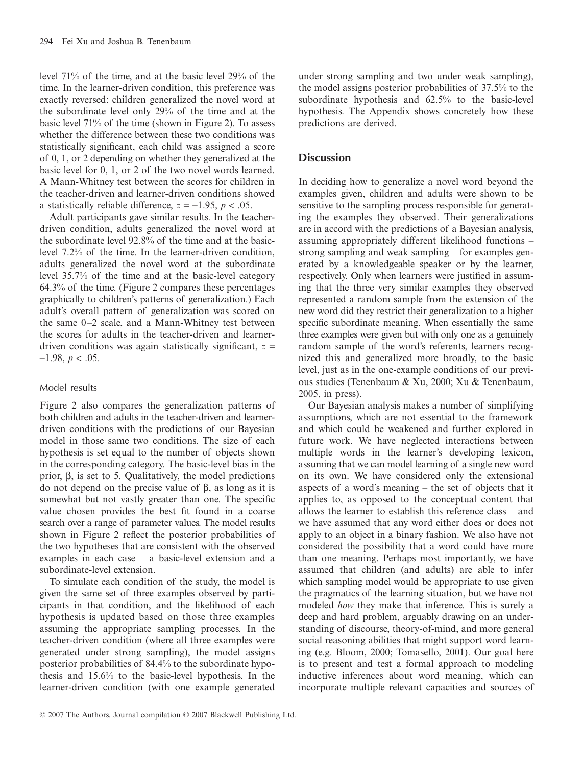level 71% of the time, and at the basic level 29% of the time. In the learner-driven condition, this preference was exactly reversed: children generalized the novel word at the subordinate level only 29% of the time and at the basic level 71% of the time (shown in Figure 2). To assess whether the difference between these two conditions was statistically significant, each child was assigned a score of 0, 1, or 2 depending on whether they generalized at the basic level for 0, 1, or 2 of the two novel words learned. A Mann-Whitney test between the scores for children in the teacher-driven and learner-driven conditions showed a statistically reliable difference,  $z = -1.95$ ,  $p < .05$ .

Adult participants gave similar results. In the teacherdriven condition, adults generalized the novel word at the subordinate level 92.8% of the time and at the basiclevel 7.2% of the time. In the learner-driven condition, adults generalized the novel word at the subordinate level 35.7% of the time and at the basic-level category 64.3% of the time. (Figure 2 compares these percentages graphically to children's patterns of generalization.) Each adult's overall pattern of generalization was scored on the same 0–2 scale, and a Mann-Whitney test between the scores for adults in the teacher-driven and learnerdriven conditions was again statistically significant,  $z =$  $-1.98, p < .05.$ 

#### Model results

Figure 2 also compares the generalization patterns of both children and adults in the teacher-driven and learnerdriven conditions with the predictions of our Bayesian model in those same two conditions. The size of each hypothesis is set equal to the number of objects shown in the corresponding category. The basic-level bias in the prior, β, is set to 5. Qualitatively, the model predictions do not depend on the precise value of β, as long as it is somewhat but not vastly greater than one. The specific value chosen provides the best fit found in a coarse search over a range of parameter values. The model results shown in Figure 2 reflect the posterior probabilities of the two hypotheses that are consistent with the observed examples in each case – a basic-level extension and a subordinate-level extension.

To simulate each condition of the study, the model is given the same set of three examples observed by participants in that condition, and the likelihood of each hypothesis is updated based on those three examples assuming the appropriate sampling processes. In the teacher-driven condition (where all three examples were generated under strong sampling), the model assigns posterior probabilities of 84.4% to the subordinate hypothesis and 15.6% to the basic-level hypothesis. In the learner-driven condition (with one example generated

under strong sampling and two under weak sampling), the model assigns posterior probabilities of 37.5% to the subordinate hypothesis and 62.5% to the basic-level hypothesis. The Appendix shows concretely how these predictions are derived.

## **Discussion**

In deciding how to generalize a novel word beyond the examples given, children and adults were shown to be sensitive to the sampling process responsible for generating the examples they observed. Their generalizations are in accord with the predictions of a Bayesian analysis, assuming appropriately different likelihood functions – strong sampling and weak sampling – for examples generated by a knowledgeable speaker or by the learner, respectively. Only when learners were justified in assuming that the three very similar examples they observed represented a random sample from the extension of the new word did they restrict their generalization to a higher specific subordinate meaning. When essentially the same three examples were given but with only one as a genuinely random sample of the word's referents, learners recognized this and generalized more broadly, to the basic level, just as in the one-example conditions of our previous studies (Tenenbaum & Xu, 2000; Xu & Tenenbaum, 2005, in press).

Our Bayesian analysis makes a number of simplifying assumptions, which are not essential to the framework and which could be weakened and further explored in future work. We have neglected interactions between multiple words in the learner's developing lexicon, assuming that we can model learning of a single new word on its own. We have considered only the extensional aspects of a word's meaning – the set of objects that it applies to, as opposed to the conceptual content that allows the learner to establish this reference class – and we have assumed that any word either does or does not apply to an object in a binary fashion. We also have not considered the possibility that a word could have more than one meaning. Perhaps most importantly, we have assumed that children (and adults) are able to infer which sampling model would be appropriate to use given the pragmatics of the learning situation, but we have not modeled *how* they make that inference. This is surely a deep and hard problem, arguably drawing on an understanding of discourse, theory-of-mind, and more general social reasoning abilities that might support word learning (e.g. Bloom, 2000; Tomasello, 2001). Our goal here is to present and test a formal approach to modeling inductive inferences about word meaning, which can incorporate multiple relevant capacities and sources of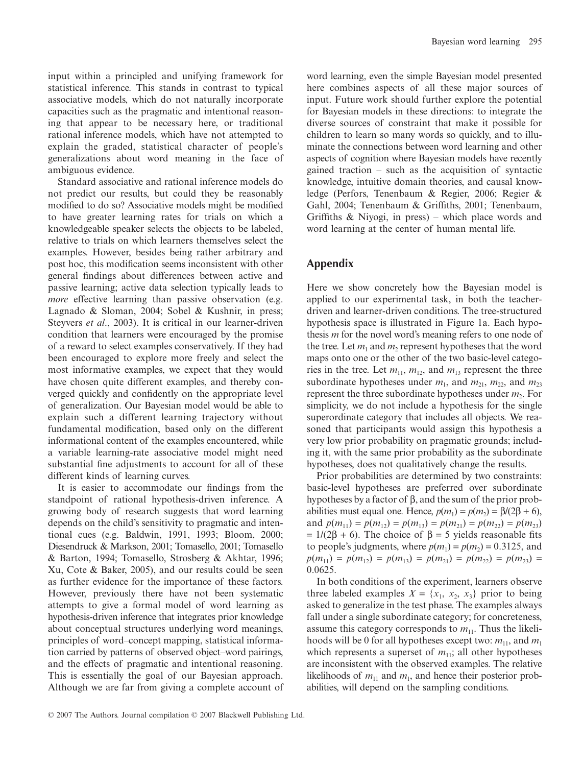input within a principled and unifying framework for statistical inference. This stands in contrast to typical associative models, which do not naturally incorporate capacities such as the pragmatic and intentional reasoning that appear to be necessary here, or traditional rational inference models, which have not attempted to explain the graded, statistical character of people's generalizations about word meaning in the face of ambiguous evidence.

Standard associative and rational inference models do not predict our results, but could they be reasonably modified to do so? Associative models might be modified to have greater learning rates for trials on which a knowledgeable speaker selects the objects to be labeled, relative to trials on which learners themselves select the examples. However, besides being rather arbitrary and post hoc, this modification seems inconsistent with other general findings about differences between active and passive learning; active data selection typically leads to *more* effective learning than passive observation (e.g. Lagnado & Sloman, 2004; Sobel & Kushnir, in press; Steyvers *et al*., 2003). It is critical in our learner-driven condition that learners were encouraged by the promise of a reward to select examples conservatively. If they had been encouraged to explore more freely and select the most informative examples, we expect that they would have chosen quite different examples, and thereby converged quickly and confidently on the appropriate level of generalization. Our Bayesian model would be able to explain such a different learning trajectory without fundamental modification, based only on the different informational content of the examples encountered, while a variable learning-rate associative model might need substantial fine adjustments to account for all of these different kinds of learning curves.

It is easier to accommodate our findings from the standpoint of rational hypothesis-driven inference. A growing body of research suggests that word learning depends on the child's sensitivity to pragmatic and intentional cues (e.g. Baldwin, 1991, 1993; Bloom, 2000; Diesendruck & Markson, 2001; Tomasello, 2001; Tomasello & Barton, 1994; Tomasello, Strosberg & Akhtar, 1996; Xu, Cote & Baker, 2005), and our results could be seen as further evidence for the importance of these factors. However, previously there have not been systematic attempts to give a formal model of word learning as hypothesis-driven inference that integrates prior knowledge about conceptual structures underlying word meanings, principles of word–concept mapping, statistical information carried by patterns of observed object–word pairings, and the effects of pragmatic and intentional reasoning. This is essentially the goal of our Bayesian approach. Although we are far from giving a complete account of word learning, even the simple Bayesian model presented here combines aspects of all these major sources of input. Future work should further explore the potential for Bayesian models in these directions: to integrate the diverse sources of constraint that make it possible for children to learn so many words so quickly, and to illuminate the connections between word learning and other aspects of cognition where Bayesian models have recently gained traction – such as the acquisition of syntactic knowledge, intuitive domain theories, and causal knowledge (Perfors, Tenenbaum & Regier, 2006; Regier & Gahl, 2004; Tenenbaum & Griffiths, 2001; Tenenbaum, Griffiths  $\&$  Niyogi, in press) – which place words and word learning at the center of human mental life.

# **Appendix**

Here we show concretely how the Bayesian model is applied to our experimental task, in both the teacherdriven and learner-driven conditions. The tree-structured hypothesis space is illustrated in Figure 1a. Each hypothesis *m* for the novel word's meaning refers to one node of the tree. Let  $m_1$  and  $m_2$  represent hypotheses that the word maps onto one or the other of the two basic-level categories in the tree. Let  $m_{11}$ ,  $m_{12}$ , and  $m_{13}$  represent the three subordinate hypotheses under  $m_1$ , and  $m_{21}$ ,  $m_{22}$ , and  $m_{23}$ represent the three subordinate hypotheses under  $m<sub>2</sub>$ . For simplicity, we do not include a hypothesis for the single superordinate category that includes all objects. We reasoned that participants would assign this hypothesis a very low prior probability on pragmatic grounds; including it, with the same prior probability as the subordinate hypotheses, does not qualitatively change the results.

Prior probabilities are determined by two constraints: basic-level hypotheses are preferred over subordinate hypotheses by a factor of β, and the sum of the prior probabilities must equal one. Hence,  $p(m_1) = p(m_2) = \beta/(2\beta + 6)$ , and  $p(m_{11}) = p(m_{12}) = p(m_{13}) = p(m_{21}) = p(m_{22}) = p(m_{23})$ =  $1/(2\beta + 6)$ . The choice of  $\beta = 5$  yields reasonable fits to people's judgments, where  $p(m_1) = p(m_2) = 0.3125$ , and  $p(m_{11}) = p(m_{12}) = p(m_{13}) = p(m_{21}) = p(m_{22}) = p(m_{23}) = p(m_{33})$ 0.0625.

In both conditions of the experiment, learners observe three labeled examples  $X = \{x_1, x_2, x_3\}$  prior to being asked to generalize in the test phase. The examples always fall under a single subordinate category; for concreteness, assume this category corresponds to  $m_{11}$ . Thus the likelihoods will be 0 for all hypotheses except two:  $m_{11}$ , and  $m_1$ which represents a superset of  $m_{11}$ ; all other hypotheses are inconsistent with the observed examples. The relative likelihoods of  $m_{11}$  and  $m_{12}$ , and hence their posterior probabilities, will depend on the sampling conditions.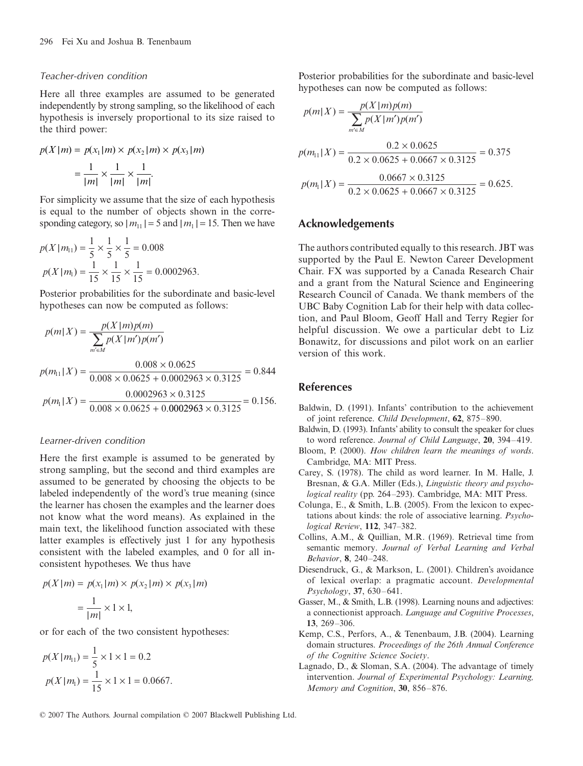#### *Teacher-driven condition*

Here all three examples are assumed to be generated independently by strong sampling, so the likelihood of each hypothesis is inversely proportional to its size raised to the third power:

$$
p(X|m) = p(x_1|m) \times p(x_2|m) \times p(x_3|m)
$$
  
=  $\frac{1}{|m|} \times \frac{1}{|m|} \times \frac{1}{|m|}$ .

For simplicity we assume that the size of each hypothesis is equal to the number of objects shown in the corresponding category, so  $|m_{11}| = 5$  and  $|m_1| = 15$ . Then we have

$$
p(X|m_{11}) = \frac{1}{5} \times \frac{1}{5} \times \frac{1}{5} = 0.008
$$
  

$$
p(X|m_{1}) = \frac{1}{15} \times \frac{1}{15} \times \frac{1}{15} = 0.0002963.
$$

Posterior probabilities for the subordinate and basic-level hypotheses can now be computed as follows:

$$
p(m|X) = \frac{p(X|m)p(m)}{\sum_{m' \in M} p(X|m')p(m')}
$$
  
\n
$$
p(m_{11}|X) = \frac{0.008 \times 0.0625}{0.008 \times 0.0625 + 0.0002963 \times 0.3125} = 0.844
$$
  
\n
$$
p(m_{1}|X) = \frac{0.0002963 \times 0.3125}{0.008 \times 0.0625 + 0.0002963 \times 0.3125} = 0.156.
$$

#### *Learner-driven condition*

Here the first example is assumed to be generated by strong sampling, but the second and third examples are assumed to be generated by choosing the objects to be labeled independently of the word's true meaning (since the learner has chosen the examples and the learner does not know what the word means). As explained in the main text, the likelihood function associated with these latter examples is effectively just 1 for any hypothesis consistent with the labeled examples, and 0 for all inconsistent hypotheses. We thus have

$$
p(X|m) = p(x_1|m) \times p(x_2|m) \times p(x_3|m)
$$

$$
= \frac{1}{|m|} \times 1 \times 1,
$$

or for each of the two consistent hypotheses:

$$
p(X|m_{11}) = \frac{1}{5} \times 1 \times 1 = 0.2
$$
  

$$
p(X|m_{1}) = \frac{1}{15} \times 1 \times 1 = 0.0667.
$$

Posterior probabilities for the subordinate and basic-level hypotheses can now be computed as follows:

$$
p(m|X) = \frac{p(X|m)p(m)}{\sum_{m' \in M} p(X|m')p(m')}
$$
  
\n
$$
p(m_{11}|X) = \frac{0.2 \times 0.0625}{0.2 \times 0.0625 + 0.0667 \times 0.3125} = 0.375
$$
  
\n
$$
p(m_{11}|X) = \frac{0.0667 \times 0.3125}{0.2 \times 0.0625 + 0.0667 \times 0.3125} = 0.625.
$$

# **Acknowledgements**

The authors contributed equally to this research. JBT was supported by the Paul E. Newton Career Development Chair. FX was supported by a Canada Research Chair and a grant from the Natural Science and Engineering Research Council of Canada. We thank members of the UBC Baby Cognition Lab for their help with data collection, and Paul Bloom, Geoff Hall and Terry Regier for helpful discussion. We owe a particular debt to Liz Bonawitz, for discussions and pilot work on an earlier version of this work.

# **References**

- Baldwin, D. (1991). Infants' contribution to the achievement of joint reference. *Child Development*, **62**, 875–890.
- Baldwin, D. (1993). Infants' ability to consult the speaker for clues to word reference. *Journal of Child Language*, **20**, 394–419.
- Bloom, P. (2000). *How children learn the meanings of words*. Cambridge, MA: MIT Press.
- Carey, S. (1978). The child as word learner. In M. Halle, J. Bresnan, & G.A. Miller (Eds.), *Linguistic theory and psychological reality* (pp. 264–293). Cambridge, MA: MIT Press.
- Colunga, E., & Smith, L.B. (2005). From the lexicon to expectations about kinds: the role of associative learning. *Psychological Review*, **112**, 347–382.
- Collins, A.M., & Quillian, M.R. (1969). Retrieval time from semantic memory. *Journal of Verbal Learning and Verbal Behavior*, **8**, 240–248.
- Diesendruck, G., & Markson, L. (2001). Children's avoidance of lexical overlap: a pragmatic account. *Developmental Psychology*, **37**, 630–641.
- Gasser, M., & Smith, L.B. (1998). Learning nouns and adjectives: a connectionist approach. *Language and Cognitive Processes*, **13**, 269–306.
- Kemp, C.S., Perfors, A., & Tenenbaum, J.B. (2004). Learning domain structures. *Proceedings of the 26th Annual Conference of the Cognitive Science Society*.
- Lagnado, D., & Sloman, S.A. (2004). The advantage of timely intervention. *Journal of Experimental Psychology: Learning, Memory and Cognition*, **30**, 856–876.